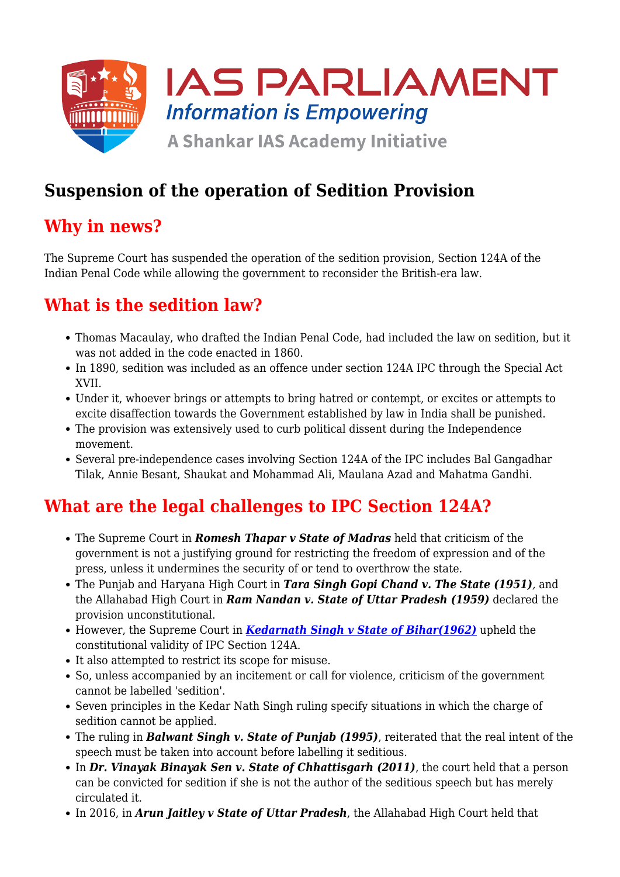

## **Suspension of the operation of Sedition Provision**

#### **Why in news?**

The Supreme Court has suspended the operation of the sedition provision, Section 124A of the Indian Penal Code while allowing the government to reconsider the British-era law.

### **What is the sedition law?**

- Thomas Macaulay, who drafted the Indian Penal Code, had included the law on sedition, but it was not added in the code enacted in 1860.
- In 1890, sedition was included as an offence under section 124A IPC through the Special Act XVII.
- Under it, whoever brings or attempts to bring hatred or contempt, or excites or attempts to excite disaffection towards the Government established by law in India shall be punished.
- The provision was extensively used to curb political dissent during the Independence movement.
- Several pre-independence cases involving Section 124A of the IPC includes Bal Gangadhar Tilak, Annie Besant, Shaukat and Mohammad Ali, Maulana Azad and Mahatma Gandhi.

## **What are the legal challenges to IPC Section 124A?**

- The Supreme Court in *Romesh Thapar v State of Madras* held that criticism of the government is not a justifying ground for restricting the freedom of expression and of the press, unless it undermines the security of or tend to overthrow the state.
- The Punjab and Haryana High Court in *Tara Singh Gopi Chand v. The State (1951),* and the Allahabad High Court in *Ram Nandan v. State of Uttar Pradesh (1959)* declared the provision unconstitutional.
- However, the Supreme Court in *[Kedarnath Singh v State of Bihar\(1962\)](https://www.iasparliament.com/current-affairs/kedar-nath-singh-sedition-ruling)* upheld the constitutional validity of IPC Section 124A.
- It also attempted to restrict its scope for misuse.
- So, unless accompanied by an incitement or call for violence, criticism of the government cannot be labelled 'sedition'.
- Seven principles in the Kedar Nath Singh ruling specify situations in which the charge of sedition cannot be applied.
- The ruling in *Balwant Singh v. State of Punjab (1995)*, reiterated that the real intent of the speech must be taken into account before labelling it seditious.
- In *Dr. Vinayak Binayak Sen v. State of Chhattisgarh (2011)*, the court held that a person can be convicted for sedition if she is not the author of the seditious speech but has merely circulated it.
- In 2016, in *Arun Jaitley v State of Uttar Pradesh*, the Allahabad High Court held that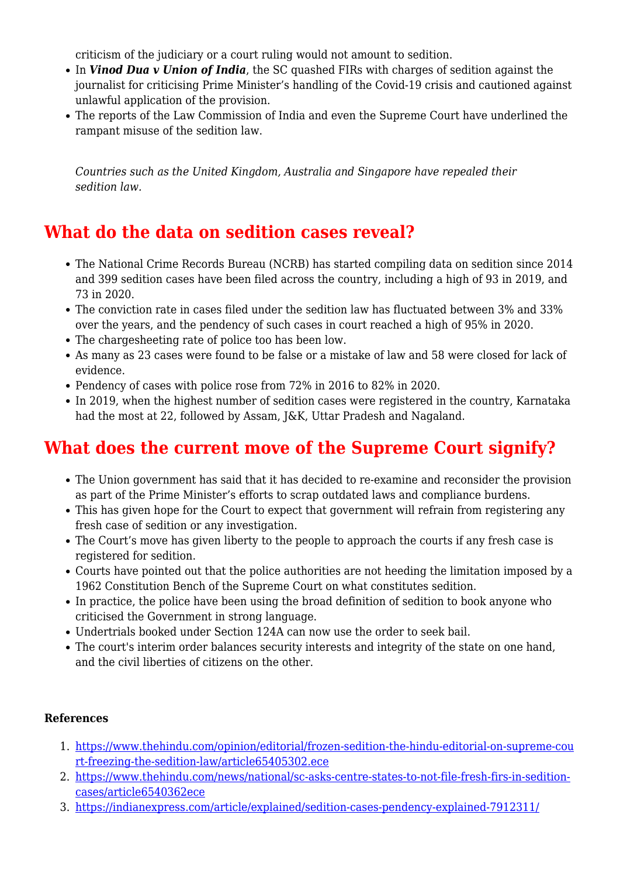criticism of the judiciary or a court ruling would not amount to sedition.

- In *Vinod Dua v Union of India*, the SC quashed FIRs with charges of sedition against the journalist for criticising Prime Minister's handling of the Covid-19 crisis and cautioned against unlawful application of the provision.
- The reports of the Law Commission of India and even the Supreme Court have underlined the rampant misuse of the sedition law.

*Countries such as the United Kingdom, Australia and Singapore have repealed their sedition law.*

#### **What do the data on sedition cases reveal?**

- The National Crime Records Bureau (NCRB) has started compiling data on sedition since 2014 and 399 sedition cases have been filed across the country, including a high of 93 in 2019, and 73 in 2020.
- The conviction rate in cases filed under the sedition law has fluctuated between 3% and 33% over the years, and the pendency of such cases in court reached a high of 95% in 2020.
- The chargesheeting rate of police too has been low.
- As many as 23 cases were found to be false or a mistake of law and 58 were closed for lack of evidence.
- Pendency of cases with police rose from 72% in 2016 to 82% in 2020.
- In 2019, when the highest number of sedition cases were registered in the country, Karnataka had the most at 22, followed by Assam, J&K, Uttar Pradesh and Nagaland.

# **What does the current move of the Supreme Court signify?**

- The Union government has said that it has decided to re-examine and reconsider the provision as part of the Prime Minister's efforts to scrap outdated laws and compliance burdens.
- This has given hope for the Court to expect that government will refrain from registering any fresh case of sedition or any investigation.
- The Court's move has given liberty to the people to approach the courts if any fresh case is registered for sedition.
- Courts have pointed out that the police authorities are not heeding the limitation imposed by a 1962 Constitution Bench of the Supreme Court on what constitutes sedition.
- In practice, the police have been using the broad definition of sedition to book anyone who criticised the Government in strong language.
- Undertrials booked under Section 124A can now use the order to seek bail.
- The court's interim order balances security interests and integrity of the state on one hand, and the civil liberties of citizens on the other.

#### **References**

- 1. [https://www.thehindu.com/opinion/editorial/frozen-sedition-the-hindu-editorial-on-supreme-cou](https://www.thehindu.com/opinion/editorial/frozen-sedition-the-hindu-editorial-on-supreme-court-freezing-the-sedition-law/article65405302.ece) [rt-freezing-the-sedition-law/article65405302.ece](https://www.thehindu.com/opinion/editorial/frozen-sedition-the-hindu-editorial-on-supreme-court-freezing-the-sedition-law/article65405302.ece)
- 2. [https://www.thehindu.com/news/national/sc-asks-centre-states-to-not-file-fresh-firs-in-sedition](https://www.thehindu.com/news/national/sc-asks-centre-states-to-not-file-fresh-firs-in-sedition-cases/article65403622.ece)[cases/article6540362ece](https://www.thehindu.com/news/national/sc-asks-centre-states-to-not-file-fresh-firs-in-sedition-cases/article65403622.ece)
- 3. <https://indianexpress.com/article/explained/sedition-cases-pendency-explained-7912311/>